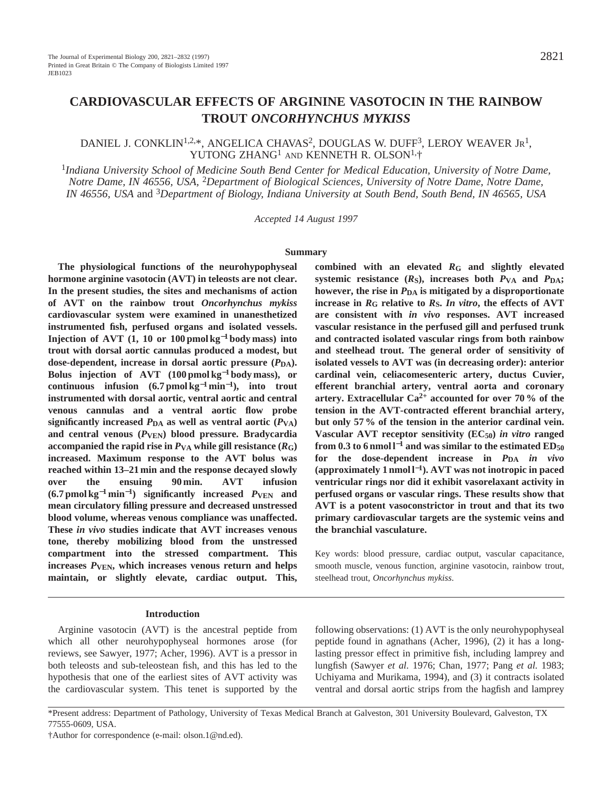# **CARDIOVASCULAR EFFECTS OF ARGININE VASOTOCIN IN THE RAINBOW TROUT** *ONCORHYNCHUS MYKISS*

## DANIEL J. CONKLIN<sup>1,2,\*</sup>, ANGELICA CHAVAS<sup>2</sup>, DOUGLAS W. DUFF<sup>3</sup>, LEROY WEAVER JR<sup>1</sup>, YUTONG ZHANG<sup>1</sup> AND KENNETH R. OLSON<sup>1,</sup>†

<sup>1</sup>*Indiana University School of Medicine South Bend Center for Medical Education, University of Notre Dame, Notre Dame, IN 46556, USA,* 2*Department of Biological Sciences, University of Notre Dame, Notre Dame, IN 46556, USA* and 3*Department of Biology, Indiana University at South Bend, South Bend, IN 46565, USA*

*Accepted 14 August 1997*

#### **Summary**

**The physiological functions of the neurohypophyseal hormone arginine vasotocin (AVT) in teleosts are not clear. In the present studies, the sites and mechanisms of action of AVT on the rainbow trout** *Oncorhynchus mykiss* **cardiovascular system were examined in unanesthetized instrumented fish, perfused organs and isolated vessels. Injection of AVT (1, 10 or 100 pmol kg**−**<sup>1</sup> body mass) into trout with dorsal aortic cannulas produced a modest, but** dose-dependent, increase in dorsal aortic pressure  $(P_{DA})$ . **Bolus injection of AVT (100 pmol kg**−**<sup>1</sup> body mass), or continuous infusion (6.7 pmol kg**−**<sup>1</sup> min**<sup>−</sup>**1), into trout instrumented with dorsal aortic, ventral aortic and central venous cannulas and a ventral aortic flow probe** significantly increased  $P_{DA}$  as well as ventral aortic  $(P_{VA})$ **and central venous (***P***VEN) blood pressure. Bradycardia** accompanied the rapid rise in  $P_{VA}$  while gill resistance  $(R_G)$ **increased. Maximum response to the AVT bolus was reached within 13–21 min and the response decayed slowly over the ensuing 90 min. AVT infusion (6.7 pmol kg**−**<sup>1</sup> min**<sup>−</sup>**1) significantly increased** *P***VEN and mean circulatory filling pressure and decreased unstressed blood volume, whereas venous compliance was unaffected. These** *in vivo* **studies indicate that AVT increases venous tone, thereby mobilizing blood from the unstressed compartment into the stressed compartment. This increases** *P***VEN, which increases venous return and helps maintain, or slightly elevate, cardiac output. This,**

#### **Introduction**

Arginine vasotocin (AVT) is the ancestral peptide from which all other neurohypophyseal hormones arose (for reviews, see Sawyer, 1977; Acher, 1996). AVT is a pressor in both teleosts and sub-teleostean fish, and this has led to the hypothesis that one of the earliest sites of AVT activity was the cardiovascular system. This tenet is supported by the

**combined with an elevated** *R***G and slightly elevated** systemic resistance  $(R<sub>S</sub>)$ , increases both  $P<sub>VA</sub>$  and  $P<sub>DA</sub>$ ; **however, the rise in** *P***DA is mitigated by a disproportionate increase in** *R***G relative to** *R***S.** *In vitro***, the effects of AVT are consistent with** *in vivo* **responses. AVT increased vascular resistance in the perfused gill and perfused trunk and contracted isolated vascular rings from both rainbow and steelhead trout. The general order of sensitivity of isolated vessels to AVT was (in decreasing order): anterior cardinal vein, celiacomesenteric artery, ductus Cuvier, efferent branchial artery, ventral aorta and coronary artery. Extracellular Ca2+ accounted for over 70 % of the tension in the AVT-contracted efferent branchial artery, but only 57 % of the tension in the anterior cardinal vein. Vascular AVT receptor sensitivity (EC50)** *in vitro* **ranged** from 0.3 to 6 nmol  $l^{-1}$  and was similar to the estimated  $ED_{50}$ **for the dose-dependent increase in** *P***DA** *in vivo* **(approximately 1 nmol l**<sup>−</sup>**1). AVT was not inotropic in paced ventricular rings nor did it exhibit vasorelaxant activity in perfused organs or vascular rings. These results show that AVT is a potent vasoconstrictor in trout and that its two primary cardiovascular targets are the systemic veins and the branchial vasculature.**

Key words: blood pressure, cardiac output, vascular capacitance, smooth muscle, venous function, arginine vasotocin, rainbow trout, steelhead trout, *Oncorhynchus mykiss*.

following observations: (1) AVT is the only neurohypophyseal peptide found in agnathans (Acher, 1996), (2) it has a longlasting pressor effect in primitive fish, including lamprey and lungfish (Sawyer *et al.* 1976; Chan, 1977; Pang *et al.* 1983; Uchiyama and Murikama, 1994), and (3) it contracts isolated ventral and dorsal aortic strips from the hagfish and lamprey

<sup>\*</sup>Present address: Department of Pathology, University of Texas Medical Branch at Galveston, 301 University Boulevard, Galveston, TX 77555-0609, USA.

<sup>†</sup>Author for correspondence (e-mail: olson.1@nd.ed).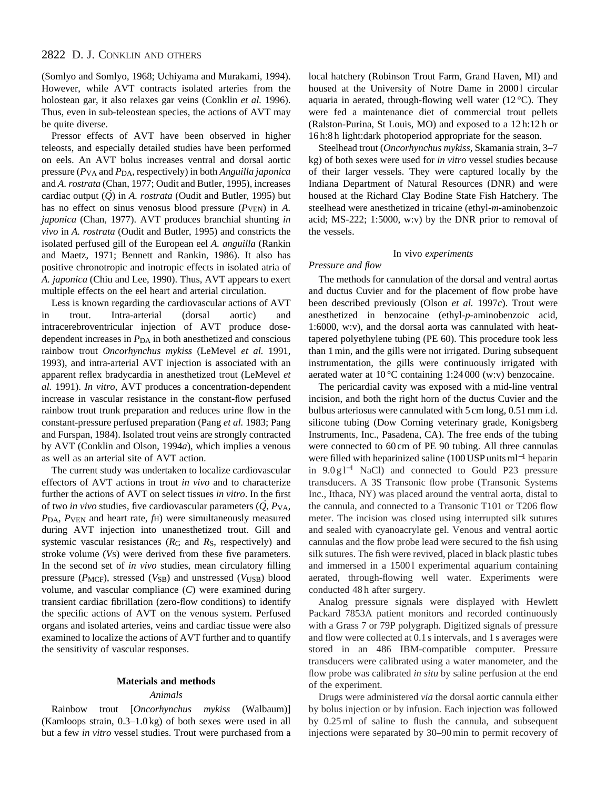## 2822 D. J. CONKLIN AND OTHERS

(Somlyo and Somlyo, 1968; Uchiyama and Murakami, 1994). However, while AVT contracts isolated arteries from the holostean gar, it also relaxes gar veins (Conklin *et al.* 1996). Thus, even in sub-teleostean species, the actions of AVT may be quite diverse.

Pressor effects of AVT have been observed in higher teleosts, and especially detailed studies have been performed on eels. An AVT bolus increases ventral and dorsal aortic pressure (*P*VA and *P*DA, respectively) in both *Anguilla japonica* and *A. rostrata* (Chan, 1977; Oudit and Butler, 1995), increases . cardiac output (*Q* ) in *A. rostrata* (Oudit and Butler, 1995) but has no effect on sinus venosus blood pressure ( $P_{VEN}$ ) in *A*. *japonica* (Chan, 1977). AVT produces branchial shunting *in vivo* in *A. rostrata* (Oudit and Butler, 1995) and constricts the isolated perfused gill of the European eel *A. anguilla* (Rankin and Maetz, 1971; Bennett and Rankin, 1986). It also has positive chronotropic and inotropic effects in isolated atria of *A. japonica* (Chiu and Lee, 1990). Thus, AVT appears to exert multiple effects on the eel heart and arterial circulation.

Less is known regarding the cardiovascular actions of AVT in trout. Intra-arterial (dorsal aortic) and intracerebroventricular injection of AVT produce dosedependent increases in *P*DA in both anesthetized and conscious rainbow trout *Oncorhynchus mykiss* (LeMevel *et al.* 1991, 1993), and intra-arterial AVT injection is associated with an apparent reflex bradycardia in anesthetized trout (LeMevel *et al.* 1991). *In vitro*, AVT produces a concentration-dependent increase in vascular resistance in the constant-flow perfused rainbow trout trunk preparation and reduces urine flow in the constant-pressure perfused preparation (Pang *et al.* 1983; Pang and Furspan, 1984). Isolated trout veins are strongly contracted by AVT (Conklin and Olson, 1994*a*), which implies a venous as well as an arterial site of AVT action.

The current study was undertaken to localize cardiovascular effectors of AVT actions in trout *in vivo* and to characterize further the actions of AVT on select tissues *in vitro*. In the first . of two *in vivo* studies, five cardiovascular parameters (*Q* , *P*VA, *P*DA, *P*VEN and heart rate, *f*H) were simultaneously measured during AVT injection into unanesthetized trout. Gill and systemic vascular resistances (*R*G and *R*S, respectively) and stroke volume (*V*S) were derived from these five parameters. In the second set of *in vivo* studies, mean circulatory filling pressure (*P<sub>MCF</sub>*), stressed (*V<sub>SB</sub>*) and unstressed (*V<sub>USB</sub>*) blood volume, and vascular compliance (*C*) were examined during transient cardiac fibrillation (zero-flow conditions) to identify the specific actions of AVT on the venous system. Perfused organs and isolated arteries, veins and cardiac tissue were also examined to localize the actions of AVT further and to quantify the sensitivity of vascular responses.

#### **Materials and methods**

### *Animals*

Rainbow trout [*Oncorhynchus mykiss* (Walbaum)] (Kamloops strain, 0.3–1.0 kg) of both sexes were used in all but a few *in vitro* vessel studies. Trout were purchased from a local hatchery (Robinson Trout Farm, Grand Haven, MI) and housed at the University of Notre Dame in 20001 circular aquaria in aerated, through-flowing well water (12 °C). They were fed a maintenance diet of commercial trout pellets (Ralston-Purina, St Louis, MO) and exposed to a 12 h:12 h or 16 h:8 h light:dark photoperiod appropriate for the season.

Steelhead trout (*Oncorhynchus mykiss*, Skamania strain, 3–7 kg) of both sexes were used for *in vitro* vessel studies because of their larger vessels. They were captured locally by the Indiana Department of Natural Resources (DNR) and were housed at the Richard Clay Bodine State Fish Hatchery. The steelhead were anesthetized in tricaine (ethyl-*m*-aminobenzoic acid; MS-222; 1:5000, w:v) by the DNR prior to removal of the vessels.

#### In vivo *experiments*

## *Pressure and flow*

The methods for cannulation of the dorsal and ventral aortas and ductus Cuvier and for the placement of flow probe have been described previously (Olson *et al.* 1997*c*). Trout were anesthetized in benzocaine (ethyl-*p*-aminobenzoic acid, 1:6000, w:v), and the dorsal aorta was cannulated with heattapered polyethylene tubing (PE 60). This procedure took less than 1 min, and the gills were not irrigated. During subsequent instrumentation, the gills were continuously irrigated with aerated water at 10 °C containing 1:24 000 (w:v) benzocaine.

The pericardial cavity was exposed with a mid-line ventral incision, and both the right horn of the ductus Cuvier and the bulbus arteriosus were cannulated with 5 cm long, 0.51 mm i.d. silicone tubing (Dow Corning veterinary grade, Konigsberg Instruments, Inc., Pasadena, CA). The free ends of the tubing were connected to 60 cm of PE 90 tubing. All three cannulas were filled with heparinized saline (100 USP units ml<sup>-1</sup> heparin in 9.0 g l−<sup>1</sup> NaCl) and connected to Gould P23 pressure transducers. A 3S Transonic flow probe (Transonic Systems Inc., Ithaca, NY) was placed around the ventral aorta, distal to the cannula, and connected to a Transonic T101 or T206 flow meter. The incision was closed using interrupted silk sutures and sealed with cyanoacrylate gel. Venous and ventral aortic cannulas and the flow probe lead were secured to the fish using silk sutures. The fish were revived, placed in black plastic tubes and immersed in a 15001 experimental aquarium containing aerated, through-flowing well water. Experiments were conducted 48 h after surgery.

Analog pressure signals were displayed with Hewlett Packard 7853A patient monitors and recorded continuously with a Grass 7 or 79P polygraph. Digitized signals of pressure and flow were collected at 0.1 s intervals, and 1 s averages were stored in an 486 IBM-compatible computer. Pressure transducers were calibrated using a water manometer, and the flow probe was calibrated *in situ* by saline perfusion at the end of the experiment.

Drugs were administered *via* the dorsal aortic cannula either by bolus injection or by infusion. Each injection was followed by 0.25 ml of saline to flush the cannula, and subsequent injections were separated by 30–90 min to permit recovery of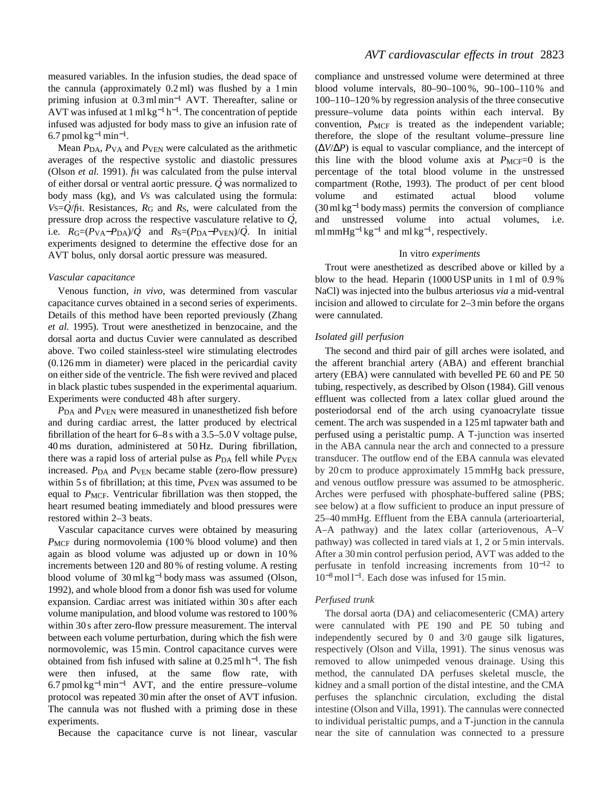measured variables. In the infusion studies, the dead space of the cannula (approximately 0.2 ml) was flushed by a 1 min priming infusion at 0.3 ml min−<sup>1</sup> AVT. Thereafter, saline or AVT was infused at 1 ml kg<sup>-1</sup> h<sup>-1</sup>. The concentration of peptide infused was adjusted for body mass to give an infusion rate of 6.7 pmol  $kg^{-1}$ min<sup>-1</sup>.

Mean  $P_{DA}$ ,  $P_{VA}$  and  $P_{VEN}$  were calculated as the arithmetic averages of the respective systolic and diastolic pressures (Olson *et al.* 1991). *f*H was calculated from the pulse interval . of either dorsal or ventral aortic pressure. *Q* was normalized to body mass (kg), and *Vs* was calculated using the formula: *V*S=*Q* /*f*H. Resistances, *R*G and *R*S, were calculated from the . pressure drop across the respective vasculature relative to *Q* , . Figure and *R* across the respective vasculature relative to  $Q$ ,<br>i.e.  $R_G=(P_{VA}-P_{DA})/Q$  and  $R_S=(P_{DA}-P_{VEN})/Q$ . In initial experiments designed to determine the effective dose for an AVT bolus, only dorsal aortic pressure was measured.

### *Vascular capacitance*

Venous function, *in vivo*, was determined from vascular capacitance curves obtained in a second series of experiments. Details of this method have been reported previously (Zhang *et al.* 1995). Trout were anesthetized in benzocaine, and the dorsal aorta and ductus Cuvier were cannulated as described above. Two coiled stainless-steel wire stimulating electrodes (0.126 mm in diameter) were placed in the pericardial cavity on either side of the ventricle. The fish were revived and placed in black plastic tubes suspended in the experimental aquarium. Experiments were conducted 48 h after surgery.

*P*DA and *P*VEN were measured in unanesthetized fish before and during cardiac arrest, the latter produced by electrical fibrillation of the heart for  $6-8$  s with a  $3.5-5.0$  V voltage pulse, 40 ms duration, administered at 50 Hz. During fibrillation, there was a rapid loss of arterial pulse as  $P_{DA}$  fell while  $P_{VEN}$ increased. *P*DA and *P*VEN became stable (zero-flow pressure) within 5 s of fibrillation; at this time,  $P_{VEN}$  was assumed to be equal to *P<sub>MCF</sub>*. Ventricular fibrillation was then stopped, the heart resumed beating immediately and blood pressures were restored within 2–3 beats.

Vascular capacitance curves were obtained by measuring *PMCF* during normovolemia (100% blood volume) and then again as blood volume was adjusted up or down in 10 % increments between 120 and 80 % of resting volume. A resting blood volume of 30 ml kg−<sup>1</sup> body mass was assumed (Olson, 1992), and whole blood from a donor fish was used for volume expansion. Cardiac arrest was initiated within 30 s after each volume manipulation, and blood volume was restored to 100 % within 30 s after zero-flow pressure measurement. The interval between each volume perturbation, during which the fish were normovolemic, was 15 min. Control capacitance curves were obtained from fish infused with saline at 0.25 ml h<sup>−</sup>1. The fish were then infused, at the same flow rate, with  $6.7$  pmol kg<sup>-1</sup> min<sup>-1</sup> AVT, and the entire pressure–volume protocol was repeated 30 min after the onset of AVT infusion. The cannula was not flushed with a priming dose in these experiments.

Because the capacitance curve is not linear, vascular

compliance and unstressed volume were determined at three blood volume intervals, 80–90–100 %, 90–100–110 % and 100–110–120 % by regression analysis of the three consecutive pressure–volume data points within each interval. By convention,  $P_{MCF}$  is treated as the independent variable; therefore, the slope of the resultant volume–pressure line (∆*V*/∆*P*) is equal to vascular compliance, and the intercept of this line with the blood volume axis at  $P_{MCF}=0$  is the percentage of the total blood volume in the unstressed compartment (Rothe, 1993). The product of per cent blood volume and estimated actual blood volume (30 ml kg−<sup>1</sup> body mass) permits the conversion of compliance and unstressed volume into actual volumes, i.e. ml mmHg<sup>-1</sup> kg<sup>-1</sup> and ml kg<sup>-1</sup>, respectively.

#### In vitro *experiments*

Trout were anesthetized as described above or killed by a blow to the head. Heparin (1000 USP units in 1 ml of 0.9 % NaCl) was injected into the bulbus arteriosus *via* a mid-ventral incision and allowed to circulate for 2–3 min before the organs were cannulated.

#### *Isolated gill perfusion*

The second and third pair of gill arches were isolated, and the afferent branchial artery (ABA) and efferent branchial artery (EBA) were cannulated with bevelled PE 60 and PE 50 tubing, respectively, as described by Olson (1984). Gill venous effluent was collected from a latex collar glued around the posteriodorsal end of the arch using cyanoacrylate tissue cement. The arch was suspended in a 125 ml tapwater bath and perfused using a peristaltic pump. A T-junction was inserted in the ABA cannula near the arch and connected to a pressure transducer. The outflow end of the EBA cannula was elevated by 20 cm to produce approximately 15 mmHg back pressure, and venous outflow pressure was assumed to be atmospheric. Arches were perfused with phosphate-buffered saline (PBS; see below) at a flow sufficient to produce an input pressure of 25–40 mmHg. Effluent from the EBA cannula (arterioarterial, A–A pathway) and the latex collar (arteriovenous, A–V pathway) was collected in tared vials at 1, 2 or 5 min intervals. After a 30 min control perfusion period, AVT was added to the perfusate in tenfold increasing increments from 10−<sup>12</sup> to 10<sup>−</sup>8mol l−1. Each dose was infused for 15 min.

## *Perfused trunk*

The dorsal aorta (DA) and celiacomesenteric (CMA) artery were cannulated with PE 190 and PE 50 tubing and independently secured by 0 and 3/0 gauge silk ligatures, respectively (Olson and Villa, 1991). The sinus venosus was removed to allow unimpeded venous drainage. Using this method, the cannulated DA perfuses skeletal muscle, the kidney and a small portion of the distal intestine, and the CMA perfuses the splanchnic circulation, excluding the distal intestine (Olson and Villa, 1991). The cannulas were connected to individual peristaltic pumps, and a T-junction in the cannula near the site of cannulation was connected to a pressure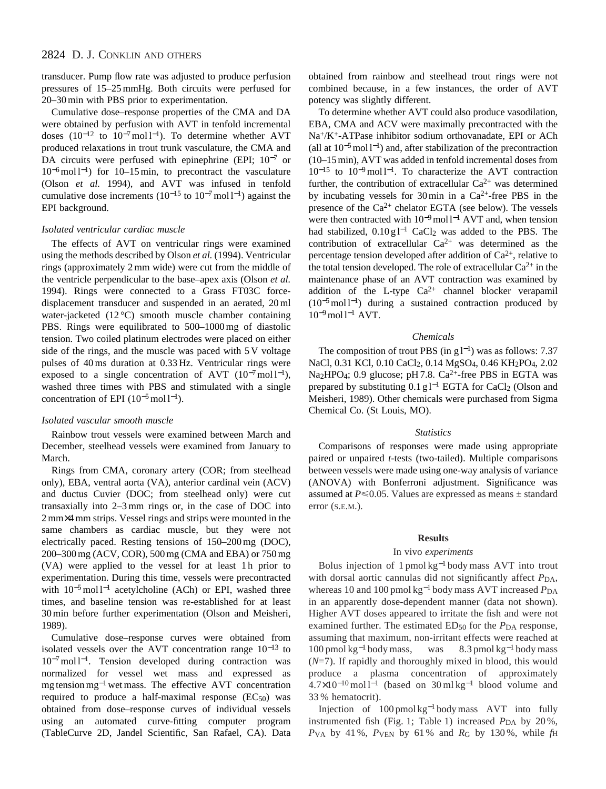transducer. Pump flow rate was adjusted to produce perfusion pressures of 15–25 mmHg. Both circuits were perfused for 20–30 min with PBS prior to experimentation.

Cumulative dose–response properties of the CMA and DA were obtained by perfusion with AVT in tenfold incremental doses  $(10^{-12} \text{ to } 10^{-7} \text{ mol} \text{ l}^{-1})$ . To determine whether AVT produced relaxations in trout trunk vasculature, the CMA and DA circuits were perfused with epinephrine (EPI; 10<sup>-7</sup> or 10<sup>−</sup>6mol l−1) for 10–15 min, to precontract the vasculature (Olson *et al.* 1994), and AVT was infused in tenfold cumulative dose increments ( $10^{-15}$  to  $10^{-7}$  mol l<sup>-1</sup>) against the EPI background.

### *Isolated ventricular cardiac muscle*

The effects of AVT on ventricular rings were examined using the methods described by Olson *et al.* (1994). Ventricular rings (approximately 2 mm wide) were cut from the middle of the ventricle perpendicular to the base–apex axis (Olson *et al.* 1994). Rings were connected to a Grass FT03C forcedisplacement transducer and suspended in an aerated, 20 ml water-jacketed (12 °C) smooth muscle chamber containing PBS. Rings were equilibrated to 500–1000 mg of diastolic tension. Two coiled platinum electrodes were placed on either side of the rings, and the muscle was paced with 5 V voltage pulses of 40 ms duration at 0.33 Hz. Ventricular rings were exposed to a single concentration of AVT  $(10^{-7} \text{mol}^{-1})$ , washed three times with PBS and stimulated with a single concentration of EPI  $(10^{-5} \text{ mol } l^{-1})$ .

#### *Isolated vascular smooth muscle*

Rainbow trout vessels were examined between March and December, steelhead vessels were examined from January to March.

Rings from CMA, coronary artery (COR; from steelhead only), EBA, ventral aorta (VA), anterior cardinal vein (ACV) and ductus Cuvier (DOC; from steelhead only) were cut transaxially into 2–3 mm rings or, in the case of DOC into 2 mm×4 mm strips. Vessel rings and strips were mounted in the same chambers as cardiac muscle, but they were not electrically paced. Resting tensions of 150–200 mg (DOC), 200–300 mg (ACV, COR), 500 mg (CMA and EBA) or 750 mg (VA) were applied to the vessel for at least 1h prior to experimentation. During this time, vessels were precontracted with 10<sup>-5</sup> mol l<sup>-1</sup> acetylcholine (ACh) or EPI, washed three times, and baseline tension was re-established for at least 30 min before further experimentation (Olson and Meisheri, 1989).

Cumulative dose–response curves were obtained from isolated vessels over the AVT concentration range 10−<sup>13</sup> to 10<sup>−</sup>7mol l−1. Tension developed during contraction was normalized for vessel wet mass and expressed as mg tension mg−<sup>1</sup> wet mass. The effective AVT concentration required to produce a half-maximal response  $(EC_{50})$  was obtained from dose–response curves of individual vessels using an automated curve-fitting computer program (TableCurve 2D, Jandel Scientific, San Rafael, CA). Data obtained from rainbow and steelhead trout rings were not combined because, in a few instances, the order of AVT potency was slightly different.

To determine whether AVT could also produce vasodilation, EBA, CMA and ACV were maximally precontracted with the Na+/K+-ATPase inhibitor sodium orthovanadate, EPI or ACh (all at  $10^{-5}$  mol l<sup>-1</sup>) and, after stabilization of the precontraction (10–15 min), AVT was added in tenfold incremental doses from 10−<sup>15</sup> to 10<sup>−</sup>9mol l−1. To characterize the AVT contraction further, the contribution of extracellular  $Ca^{2+}$  was determined by incubating vessels for 30 min in a  $Ca^{2+}$ -free PBS in the presence of the  $Ca^{2+}$  chelator EGTA (see below). The vessels were then contracted with  $10^{-9}$  mol l<sup>-1</sup> AVT and, when tension had stabilized, 0.10 g l<sup>-1</sup> CaCl<sub>2</sub> was added to the PBS. The contribution of extracellular  $Ca^{2+}$  was determined as the percentage tension developed after addition of  $Ca^{2+}$ , relative to the total tension developed. The role of extracellular  $Ca^{2+}$  in the maintenance phase of an AVT contraction was examined by addition of the L-type  $Ca^{2+}$  channel blocker verapamil  $(10^{-5} \text{ mol}^{-1})$  during a sustained contraction produced by  $10^{-9}$  mol l<sup>-1</sup> AVT.

### *Chemicals*

The composition of trout PBS (in g  $l^{-1}$ ) was as follows: 7.37 NaCl, 0.31 KCl, 0.10 CaCl<sub>2</sub>, 0.14 MgSO<sub>4</sub>, 0.46 KH<sub>2</sub>PO<sub>4</sub>, 2.02 Na<sub>2</sub>HPO<sub>4</sub>; 0.9 glucose; pH 7.8.  $Ca^{2+}$ -free PBS in EGTA was prepared by substituting  $0.1$  g l<sup>−1</sup> EGTA for CaCl<sub>2</sub> (Olson and Meisheri, 1989). Other chemicals were purchased from Sigma Chemical Co. (St Louis, MO).

#### *Statistics*

Comparisons of responses were made using appropriate paired or unpaired *t*-tests (two-tailed). Multiple comparisons between vessels were made using one-way analysis of variance (ANOVA) with Bonferroni adjustment. Significance was assumed at  $P \le 0.05$ . Values are expressed as means  $\pm$  standard error (S.E.M.).

#### **Results**

#### In vivo *experiments*

Bolus injection of 1 pmol kg−<sup>1</sup> body mass AVT into trout with dorsal aortic cannulas did not significantly affect  $P_{DA}$ , whereas 10 and 100 pmol kg<sup>-1</sup> body mass AVT increased *P*<sub>DA</sub> in an apparently dose-dependent manner (data not shown). Higher AVT doses appeared to irritate the fish and were not examined further. The estimated ED<sub>50</sub> for the *P*<sub>DA</sub> response, assuming that maximum, non-irritant effects were reached at  $100 \text{ pmol kg}^{-1}$  body mass, was  $8.3 \text{ pmol kg}^{-1}$  body mass (*N*=7). If rapidly and thoroughly mixed in blood, this would produce a plasma concentration of approximately  $4.7\times10^{-10}$  mol l<sup>-1</sup> (based on 30 ml kg<sup>-1</sup> blood volume and 33 % hematocrit).

Injection of 100 pmol kg−<sup>1</sup> body mass AVT into fully instrumented fish (Fig. 1; Table 1) increased  $P_{DA}$  by 20%, *P*VA by 41 %, *P*VEN by 61 % and *R*G by 130 %, while *f*H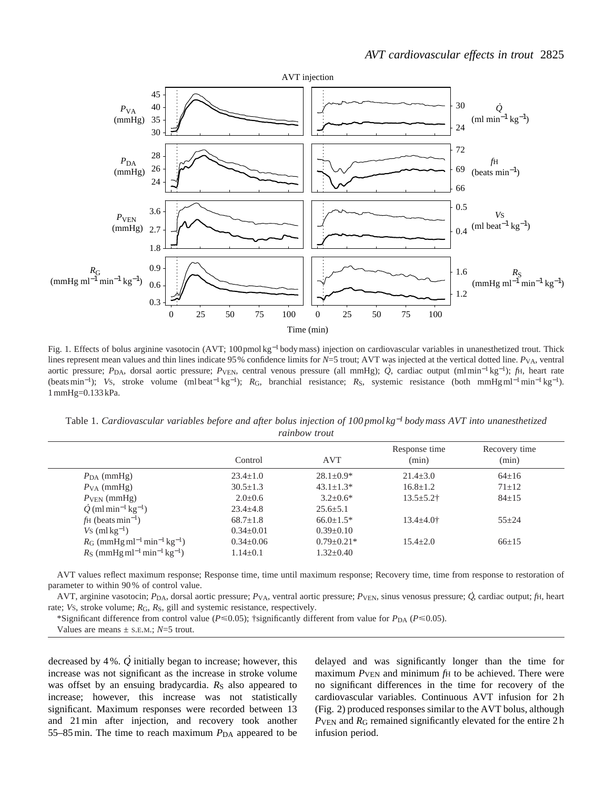

Fig. 1. Effects of bolus arginine vasotocin (AVT; 100pmol kg−<sup>1</sup> body mass) injection on cardiovascular variables in unanesthetized trout. Thick lines represent mean values and thin lines indicate 95% confidence limits for *N*=5 trout; AVT was injected at the vertical dotted line. *P*VA, ventral aortic pressure; *P*DA, dorsal aortic pressure; *P*VEN, central venous pressure (all mmHg); *Q* , cardiac output (ml min−<sup>1</sup> kg<sup>−</sup>1); *f*H, heart rate (beats min<sup>−</sup>1); *V*S, stroke volume (ml beat−<sup>1</sup> kg<sup>−</sup>1); *R*G, branchial resistance; *R*S, systemic resistance (both mmHgml<sup>−</sup>1min−<sup>1</sup> kg<sup>−</sup>1). 1 mmHg=0.133 kPa.

Table 1. *Cardiovascular variables before and after bolus injection of 100 pmol kg*−*<sup>1</sup> body mass AVT into unanesthetized rainbow trout*

|                                                                   | Control         | <b>AVT</b>       | Response time<br>(min) | Recovery time<br>(min) |
|-------------------------------------------------------------------|-----------------|------------------|------------------------|------------------------|
| $P_{\text{DA}}$ (mmHg)                                            | $23.4 \pm 1.0$  | $28.1 \pm 0.9*$  | $21.4 \pm 3.0$         | $64 \pm 16$            |
| $P_{VA}$ (mmHg)                                                   | $30.5 \pm 1.3$  | $43.1 \pm 1.3*$  | $16.8 \pm 1.2$         | $71 \pm 12$            |
| $PVEN$ (mmHg)                                                     | $2.0 \pm 0.6$   | $3.2 + 0.6*$     | $13.5 \pm 5.2$ †       | $84 \pm 15$            |
| $\dot{Q}$ (ml min <sup>-1</sup> kg <sup>-1</sup> )                | $23.4 \pm 4.8$  | $25.6 \pm 5.1$   |                        |                        |
| $\text{fH}$ (beats min <sup>-1</sup> )                            | $68.7 \pm 1.8$  | $66.0 \pm 1.5*$  | $13.4 \pm 4.0^+$       | $55 + 24$              |
| $Vs$ (ml kg <sup>-1</sup> )                                       | $0.34 \pm 0.01$ | $0.39 \pm 0.10$  |                        |                        |
| $R_G$ (mmHg ml <sup>-1</sup> min <sup>-1</sup> kg <sup>-1</sup> ) | $0.34 \pm 0.06$ | $0.79 \pm 0.21*$ | $15.4 + 2.0$           | $66 \pm 15$            |
| $R_S$ (mmHg ml <sup>-1</sup> min <sup>-1</sup> kg <sup>-1</sup> ) | $1.14 \pm 0.1$  | $1.32 \pm 0.40$  |                        |                        |

AVT values reflect maximum response; Response time, time until maximum response; Recovery time, time from response to restoration of parameter to within 90 % of control value.

AVT, arginine vasotocin; *P*DA, dorsal aortic pressure; *P*VA, ventral aortic pressure; *P*VEN, sinus venosus pressure; *Q* . , cardiac output; *f*H, heart rate; *Vs*, stroke volume;  $R_G$ ,  $R_S$ , gill and systemic resistance, respectively.

\*Significant difference from control value ( $P \le 0.05$ ); †significantly different from value for  $P_{DA}$  ( $P \le 0.05$ ).

Values are means  $\pm$  s.e.m.;  $N=5$  trout.

decreased by 4 %. *Q* ) initially began to increase; however, this increase was not significant as the increase in stroke volume was offset by an ensuing bradycardia.  $R<sub>S</sub>$  also appeared to increase; however, this increase was not statistically significant. Maximum responses were recorded between 13 and 21 min after injection, and recovery took another 55–85 min. The time to reach maximum  $P<sub>DA</sub>$  appeared to be

delayed and was significantly longer than the time for maximum  $P_{\text{VEN}}$  and minimum  $f_{\text{H}}$  to be achieved. There were no significant differences in the time for recovery of the cardiovascular variables. Continuous AVT infusion for 2 h (Fig. 2) produced responses similar to the AVT bolus, although *P*VEN and *R*G remained significantly elevated for the entire 2 h infusion period.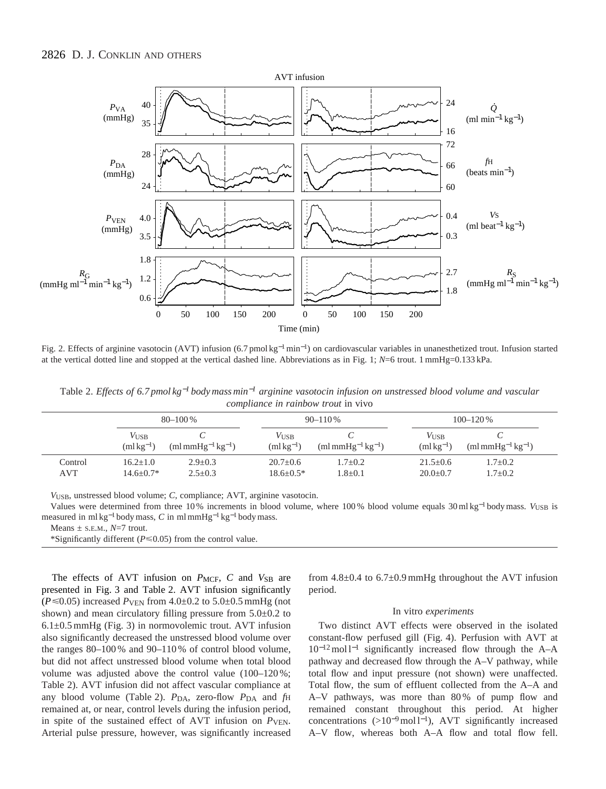

Fig. 2. Effects of arginine vasotocin (AVT) infusion (6.7 pmol kg<sup>−</sup>1min−1) on cardiovascular variables in unanesthetized trout. Infusion started at the vertical dotted line and stopped at the vertical dashed line. Abbreviations as in Fig. 1; *N*=6 trout. 1 mmHg=0.133 kPa.

Table 2. *Effects of 6.7 pmol kg*−*<sup>1</sup> body mass min*−*<sup>1</sup> arginine vasotocin infusion on unstressed blood volume and vascular compliance in rainbow trout* in vivo

|                | $80 - 100\%$                      |                                           |                              | $90 - 110\%$               |                              | $100 - 120%$                   |  |
|----------------|-----------------------------------|-------------------------------------------|------------------------------|----------------------------|------------------------------|--------------------------------|--|
|                | $V_{\text{USB}}$<br>$(mlkg^{-1})$ | $\text{m} \text{mmHg}^{-1}\text{kg}^{-1}$ | <b>VUSB</b><br>$(mlkg^{-1})$ | $mHg^{-1}kg^{-1}$          | <b>VUSB</b><br>$(mlkg^{-1})$ | $(mlmmHg^{-1}kg^{-1})$         |  |
| Control<br>AVT | $16.2 + 1.0$<br>$14.6 + 0.7*$     | $2.9 + 0.3$<br>$2.5 \pm 0.3$              | $20.7+0.6$<br>$18.6 + 0.5*$  | $1.7+0.2$<br>$1.8 \pm 0.1$ | $21.5+0.6$<br>$20.0+0.7$     | $1.7 \pm 0.2$<br>$1.7 \pm 0.2$ |  |

*V*USB, unstressed blood volume; *C*, compliance; AVT, arginine vasotocin.

Values were determined from three 10 % increments in blood volume, where 100 % blood volume equals 30 ml kg−<sup>1</sup> body mass. *V*USB is measured in ml kg−<sup>1</sup> body mass, *C* in ml mmHg−<sup>1</sup> kg−<sup>1</sup> body mass.

Means  $\pm$  s.E.M.,  $N=7$  trout.

\*Significantly different ( $P \le 0.05$ ) from the control value.

The effects of AVT infusion on *P<sub>MCF</sub>*, *C* and *V*<sub>SB</sub> are presented in Fig. 3 and Table 2. AVT infusion significantly  $(P \le 0.05)$  increased  $P_{\text{VEN}}$  from 4.0 $\pm$ 0.2 to 5.0 $\pm$ 0.5 mmHg (not shown) and mean circulatory filling pressure from  $5.0\pm0.2$  to 6.1±0.5 mmHg (Fig. 3) in normovolemic trout. AVT infusion also significantly decreased the unstressed blood volume over the ranges 80–100 % and 90–110 % of control blood volume, but did not affect unstressed blood volume when total blood volume was adjusted above the control value (100–120 %; Table 2). AVT infusion did not affect vascular compliance at any blood volume (Table 2).  $P_{\text{DA}}$ , zero-flow  $P_{\text{DA}}$  and  $f_{\text{H}}$ remained at, or near, control levels during the infusion period, in spite of the sustained effect of AVT infusion on  $P_{VEN}$ . Arterial pulse pressure, however, was significantly increased from  $4.8\pm0.4$  to  $6.7\pm0.9$  mmHg throughout the AVT infusion period.

### In vitro *experiments*

Two distinct AVT effects were observed in the isolated constant-flow perfused gill (Fig. 4). Perfusion with AVT at 10<sup>−</sup>12mol l−<sup>1</sup> significantly increased flow through the A–A pathway and decreased flow through the A–V pathway, while total flow and input pressure (not shown) were unaffected. Total flow, the sum of effluent collected from the A–A and A–V pathways, was more than 80 % of pump flow and remained constant throughout this period. At higher concentrations (>10<sup>−</sup>9mol l−1), AVT significantly increased A–V flow, whereas both A–A flow and total flow fell.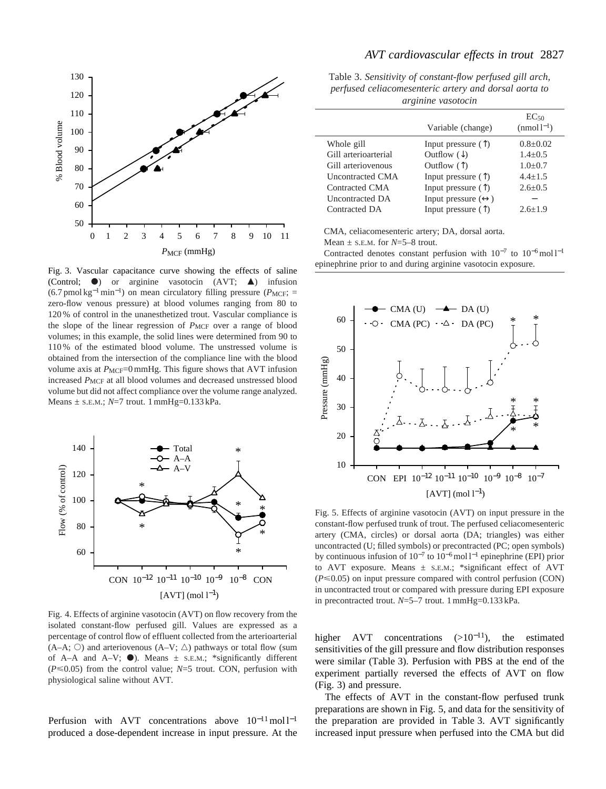

Fig. 3. Vascular capacitance curve showing the effects of saline (Control;  $\bullet$ ) or arginine vasotocin (AVT;  $\blacktriangle$ ) infusion  $(6.7 \text{ pmol kg}^{-1} \text{min}^{-1})$  on mean circulatory filling pressure ( $P_{MCF}$ ; = zero-flow venous pressure) at blood volumes ranging from 80 to 120 % of control in the unanesthetized trout. Vascular compliance is the slope of the linear regression of *P<sub>MCF</sub>* over a range of blood volumes; in this example, the solid lines were determined from 90 to 110 % of the estimated blood volume. The unstressed volume is obtained from the intersection of the compliance line with the blood volume axis at  $P_{MCF}$ =0 mmHg. This figure shows that AVT infusion increased *PMCF* at all blood volumes and decreased unstressed blood volume but did not affect compliance over the volume range analyzed. Means  $\pm$  s.E.M.;  $N=7$  trout. 1 mmHg=0.133 kPa.



Fig. 4. Effects of arginine vasotocin (AVT) on flow recovery from the isolated constant-flow perfused gill. Values are expressed as a percentage of control flow of effluent collected from the arterioarterial  $(A-A; \circlearrowright)$  and arteriovenous  $(A-V; \circlearrowright)$  pathways or total flow (sum of A–A and A–V;  $\bullet$ ). Means  $\pm$  s.E.M.; \*significantly different  $(P \le 0.05)$  from the control value;  $N=5$  trout. CON, perfusion with physiological saline without AVT.

Perfusion with AVT concentrations above  $10^{-11}$  mol l<sup>-1</sup> produced a dose-dependent increase in input pressure. At the

## *AVT cardiovascular effects in trout* 2827

Table 3. *Sensitivity of constant-flow perfused gill arch, perfused celiacomesenteric artery and dorsal aorta to arginine vasotocin*

|                         | Variable (change)                  | $EC_{50}$<br>$(nmol-1)$ |
|-------------------------|------------------------------------|-------------------------|
| Whole gill              | Input pressure $(\uparrow)$        | $0.8 + 0.02$            |
| Gill arterioarterial    | Outflow $(\downarrow)$             | $1.4 \pm 0.5$           |
| Gill arteriovenous      | Outflow $($ $\uparrow$ $)$         | $1.0 \pm 0.7$           |
| <b>Uncontracted CMA</b> | Input pressure $(\uparrow)$        | $4.4 + 1.5$             |
| Contracted CMA          | Input pressure $(\uparrow)$        | $2.6 + 0.5$             |
| Uncontracted DA         | Input pressure $(\leftrightarrow)$ |                         |
| Contracted DA           | Input pressure $(\uparrow)$        | $2.6 + 1.9$             |

CMA, celiacomesenteric artery; DA, dorsal aorta.

Mean ± S.E.M. for *N*=5–8 trout.

Contracted denotes constant perfusion with 10−<sup>7</sup> to 10<sup>−</sup>6mol l−<sup>1</sup> epinephrine prior to and during arginine vasotocin exposure.



Fig. 5. Effects of arginine vasotocin (AVT) on input pressure in the constant-flow perfused trunk of trout. The perfused celiacomesenteric artery (CMA, circles) or dorsal aorta (DA; triangles) was either uncontracted (U; filled symbols) or precontracted (PC; open symbols) by continuous infusion of  $10^{-7}$  to  $10^{-6}$  mol l<sup>-1</sup> epinephrine (EPI) prior to AVT exposure. Means  $\pm$  s.E.M.; \*significant effect of AVT  $(P \le 0.05)$  on input pressure compared with control perfusion (CON) in uncontracted trout or compared with pressure during EPI exposure in precontracted trout. *N*=5–7 trout. 1 mmHg=0.133 kPa.

higher AVT concentrations  $(>10^{-11})$ , the estimated sensitivities of the gill pressure and flow distribution responses were similar (Table 3). Perfusion with PBS at the end of the experiment partially reversed the effects of AVT on flow (Fig. 3) and pressure.

The effects of AVT in the constant-flow perfused trunk preparations are shown in Fig. 5, and data for the sensitivity of the preparation are provided in Table 3. AVT significantly increased input pressure when perfused into the CMA but did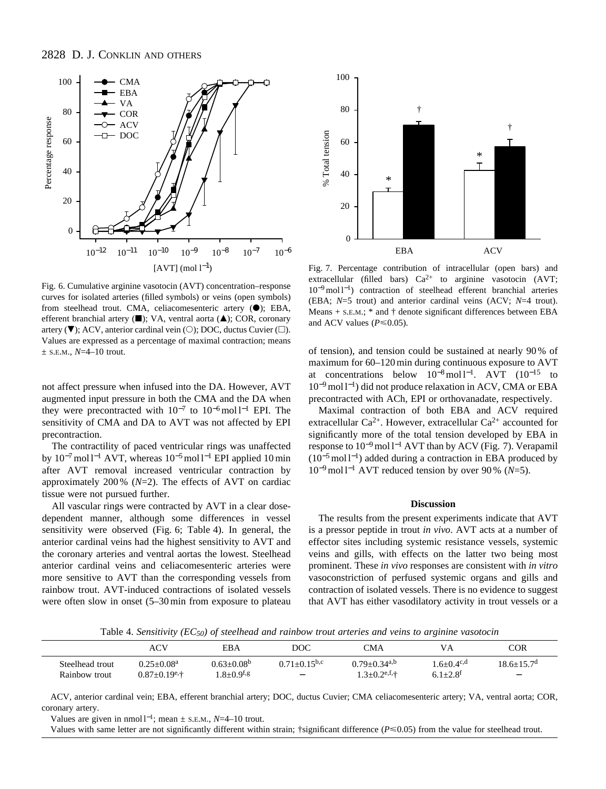

Fig. 6. Cumulative arginine vasotocin (AVT) concentration–response curves for isolated arteries (filled symbols) or veins (open symbols) from steelhead trout. CMA, celiacomesenteric artery  $(\bullet)$ ; EBA, efferent branchial artery ( $\blacksquare$ ); VA, ventral aorta ( $\blacktriangle$ ); COR, coronary artery ( $\nabla$ ); ACV, anterior cardinal vein ( $\circ$ ); DOC, ductus Cuvier ( $\Box$ ). Values are expressed as a percentage of maximal contraction; means  $\pm$  S.E.M.,  $N=4-10$  trout.

not affect pressure when infused into the DA. However, AVT augmented input pressure in both the CMA and the DA when they were precontracted with 10−<sup>7</sup> to 10<sup>−</sup>6mol l−<sup>1</sup> EPI. The sensitivity of CMA and DA to AVT was not affected by EPI precontraction.

The contractility of paced ventricular rings was unaffected by 10<sup>−</sup>7mol l−<sup>1</sup> AVT, whereas 10<sup>−</sup>5mol l−<sup>1</sup> EPI applied 10 min after AVT removal increased ventricular contraction by approximately 200 % (*N*=2). The effects of AVT on cardiac tissue were not pursued further.

All vascular rings were contracted by AVT in a clear dosedependent manner, although some differences in vessel sensitivity were observed (Fig. 6; Table 4). In general, the anterior cardinal veins had the highest sensitivity to AVT and the coronary arteries and ventral aortas the lowest. Steelhead anterior cardinal veins and celiacomesenteric arteries were more sensitive to AVT than the corresponding vessels from rainbow trout. AVT-induced contractions of isolated vessels were often slow in onset (5–30 min from exposure to plateau



Fig. 7. Percentage contribution of intracellular (open bars) and extracellular (filled bars)  $Ca^{2+}$  to arginine vasotocin (AVT; 10<sup>−</sup>9mol l−1) contraction of steelhead efferent branchial arteries (EBA; *N*=5 trout) and anterior cardinal veins (ACV; *N*=4 trout). Means  $+$  s.E.M.;  $*$  and  $\dagger$  denote significant differences between EBA and ACV values ( $P \le 0.05$ ).

of tension), and tension could be sustained at nearly 90 % of maximum for 60–120 min during continuous exposure to AVT at concentrations below  $10^{-8}$  mol l<sup>-1</sup>. AVT  $(10^{-15}$  to 10<sup>−</sup>9mol l−1) did not produce relaxation in ACV, CMA or EBA precontracted with ACh, EPI or orthovanadate, respectively.

Maximal contraction of both EBA and ACV required extracellular  $Ca^{2+}$ . However, extracellular  $Ca^{2+}$  accounted for significantly more of the total tension developed by EBA in response to 10<sup>−</sup>9mol l−<sup>1</sup> AVT than by ACV (Fig. 7). Verapamil (10<sup>−</sup>5mol l−1) added during a contraction in EBA produced by 10<sup>−</sup>9mol l−<sup>1</sup> AVT reduced tension by over 90 % (*N*=5).

#### **Discussion**

The results from the present experiments indicate that AVT is a pressor peptide in trout *in vivo*. AVT acts at a number of effector sites including systemic resistance vessels, systemic veins and gills, with effects on the latter two being most prominent. These *in vivo* responses are consistent with *in vitro* vasoconstriction of perfused systemic organs and gills and contraction of isolated vessels. There is no evidence to suggest that AVT has either vasodilatory activity in trout vessels or a

Table 4. *Sensitivity (EC50) of steelhead and rainbow trout arteries and veins to arginine vasotocin*

|                 | ACV                             | EBA                    | DOC                          | CMA                             |                            | COR                        |
|-----------------|---------------------------------|------------------------|------------------------------|---------------------------------|----------------------------|----------------------------|
| Steelhead trout | $0.25 + 0.08a$                  | $0.63+0.08b$           | $0.71 + 0.15$ <sub>b,c</sub> | $0.79 \pm 0.34$ <sup>a,b</sup>  | $-.6+0.4^{\circ,d}$        | $18.6 + 15.7$ <sup>d</sup> |
| Rainbow trout   | $0.87 \pm 0.19$ <sup>e, †</sup> | $8+0.9$ <sup>f,g</sup> | $\overline{\phantom{0}}$     | $1.3 \pm 0.2$ <sup>e,f,</sup> † | $6.1 \pm 2.8$ <sup>f</sup> | $\overline{\phantom{0}}$   |

ACV, anterior cardinal vein; EBA, efferent branchial artery; DOC, ductus Cuvier; CMA celiacomesenteric artery; VA, ventral aorta; COR, coronary artery.

Values are given in nmol l<sup>−</sup>1; mean ± S.E.M., *N*=4–10 trout.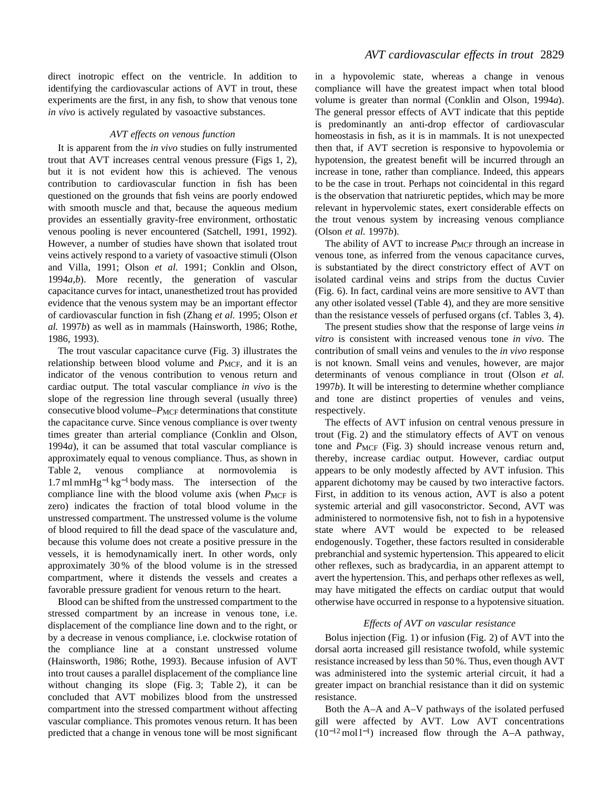direct inotropic effect on the ventricle. In addition to identifying the cardiovascular actions of AVT in trout, these experiments are the first, in any fish, to show that venous tone *in vivo* is actively regulated by vasoactive substances.

## *AVT effects on venous function*

It is apparent from the *in vivo* studies on fully instrumented trout that AVT increases central venous pressure (Figs 1, 2), but it is not evident how this is achieved. The venous contribution to cardiovascular function in fish has been questioned on the grounds that fish veins are poorly endowed with smooth muscle and that, because the aqueous medium provides an essentially gravity-free environment, orthostatic venous pooling is never encountered (Satchell, 1991, 1992). However, a number of studies have shown that isolated trout veins actively respond to a variety of vasoactive stimuli (Olson and Villa, 1991; Olson *et al.* 1991; Conklin and Olson, 1994*a*,*b*). More recently, the generation of vascular capacitance curves for intact, unanesthetized trout has provided evidence that the venous system may be an important effector of cardiovascular function in fish (Zhang *et al.* 1995; Olson *et al.* 1997*b*) as well as in mammals (Hainsworth, 1986; Rothe, 1986, 1993).

The trout vascular capacitance curve (Fig. 3) illustrates the relationship between blood volume and *P<sub>MCF</sub>*, and it is an indicator of the venous contribution to venous return and cardiac output. The total vascular compliance *in vivo* is the slope of the regression line through several (usually three) consecutive blood volume–*PMCF* determinations that constitute the capacitance curve. Since venous compliance is over twenty times greater than arterial compliance (Conklin and Olson, 1994*a*), it can be assumed that total vascular compliance is approximately equal to venous compliance. Thus, as shown in Table 2, venous compliance at normovolemia is 1.7 ml mmHg−<sup>1</sup> kg−<sup>1</sup> body mass. The intersection of the compliance line with the blood volume axis (when *PMCF* is zero) indicates the fraction of total blood volume in the unstressed compartment. The unstressed volume is the volume of blood required to fill the dead space of the vasculature and, because this volume does not create a positive pressure in the vessels, it is hemodynamically inert. In other words, only approximately 30 % of the blood volume is in the stressed compartment, where it distends the vessels and creates a favorable pressure gradient for venous return to the heart.

Blood can be shifted from the unstressed compartment to the stressed compartment by an increase in venous tone, i.e. displacement of the compliance line down and to the right, or by a decrease in venous compliance, i.e. clockwise rotation of the compliance line at a constant unstressed volume (Hainsworth, 1986; Rothe, 1993). Because infusion of AVT into trout causes a parallel displacement of the compliance line without changing its slope (Fig. 3; Table 2), it can be concluded that AVT mobilizes blood from the unstressed compartment into the stressed compartment without affecting vascular compliance. This promotes venous return. It has been predicted that a change in venous tone will be most significant

in a hypovolemic state, whereas a change in venous compliance will have the greatest impact when total blood volume is greater than normal (Conklin and Olson, 1994*a*). The general pressor effects of AVT indicate that this peptide is predominantly an anti-drop effector of cardiovascular homeostasis in fish, as it is in mammals. It is not unexpected then that, if AVT secretion is responsive to hypovolemia or hypotension, the greatest benefit will be incurred through an increase in tone, rather than compliance. Indeed, this appears to be the case in trout. Perhaps not coincidental in this regard is the observation that natriuretic peptides, which may be more relevant in hypervolemic states, exert considerable effects on the trout venous system by increasing venous compliance (Olson *et al.* 1997*b*).

The ability of AVT to increase  $P_{MCF}$  through an increase in venous tone, as inferred from the venous capacitance curves, is substantiated by the direct constrictory effect of AVT on isolated cardinal veins and strips from the ductus Cuvier (Fig. 6). In fact, cardinal veins are more sensitive to AVT than any other isolated vessel (Table 4), and they are more sensitive than the resistance vessels of perfused organs (cf. Tables 3, 4).

The present studies show that the response of large veins *in vitro* is consistent with increased venous tone *in vivo*. The contribution of small veins and venules to the *in vivo* response is not known. Small veins and venules, however, are major determinants of venous compliance in trout (Olson *et al.* 1997*b*). It will be interesting to determine whether compliance and tone are distinct properties of venules and veins, respectively.

The effects of AVT infusion on central venous pressure in trout (Fig. 2) and the stimulatory effects of AVT on venous tone and *P*MCF (Fig. 3) should increase venous return and, thereby, increase cardiac output. However, cardiac output appears to be only modestly affected by AVT infusion. This apparent dichotomy may be caused by two interactive factors. First, in addition to its venous action, AVT is also a potent systemic arterial and gill vasoconstrictor. Second, AVT was administered to normotensive fish, not to fish in a hypotensive state where AVT would be expected to be released endogenously. Together, these factors resulted in considerable prebranchial and systemic hypertension. This appeared to elicit other reflexes, such as bradycardia, in an apparent attempt to avert the hypertension. This, and perhaps other reflexes as well, may have mitigated the effects on cardiac output that would otherwise have occurred in response to a hypotensive situation.

### *Effects of AVT on vascular resistance*

Bolus injection (Fig. 1) or infusion (Fig. 2) of AVT into the dorsal aorta increased gill resistance twofold, while systemic resistance increased by less than 50 %. Thus, even though AVT was administered into the systemic arterial circuit, it had a greater impact on branchial resistance than it did on systemic resistance.

Both the A–A and A–V pathways of the isolated perfused gill were affected by AVT. Low AVT concentrations  $(10^{-12} \text{ mol } l^{-1})$  increased flow through the A–A pathway,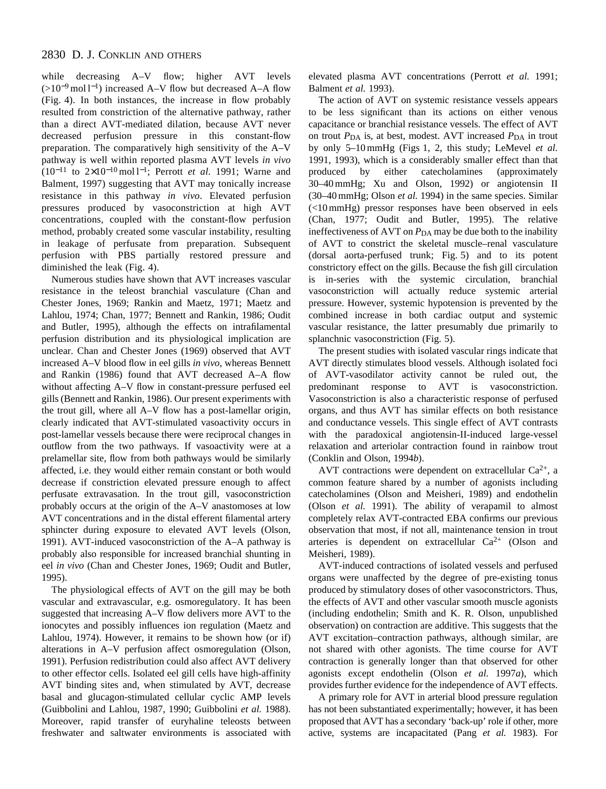## 2830 D. J. CONKLIN AND OTHERS

while decreasing A–V flow; higher AVT levels (>10−<sup>9</sup> mol l<sup>−</sup>1) increased A–V flow but decreased A–A flow (Fig. 4). In both instances, the increase in flow probably resulted from constriction of the alternative pathway, rather than a direct AVT-mediated dilation, because AVT never decreased perfusion pressure in this constant-flow preparation. The comparatively high sensitivity of the A–V pathway is well within reported plasma AVT levels *in vivo* (10−<sup>11</sup> to 2×10−<sup>10</sup> mol l<sup>−</sup>1; Perrott *et al.* 1991; Warne and Balment, 1997) suggesting that AVT may tonically increase resistance in this pathway *in vivo*. Elevated perfusion pressures produced by vasoconstriction at high AVT concentrations, coupled with the constant-flow perfusion method, probably created some vascular instability, resulting in leakage of perfusate from preparation. Subsequent perfusion with PBS partially restored pressure and diminished the leak (Fig. 4).

Numerous studies have shown that AVT increases vascular resistance in the teleost branchial vasculature (Chan and Chester Jones, 1969; Rankin and Maetz, 1971; Maetz and Lahlou, 1974; Chan, 1977; Bennett and Rankin, 1986; Oudit and Butler, 1995), although the effects on intrafilamental perfusion distribution and its physiological implication are unclear. Chan and Chester Jones (1969) observed that AVT increased A–V blood flow in eel gills *in vivo*, whereas Bennett and Rankin (1986) found that AVT decreased A–A flow without affecting A–V flow in constant-pressure perfused eel gills (Bennett and Rankin, 1986). Our present experiments with the trout gill, where all A–V flow has a post-lamellar origin, clearly indicated that AVT-stimulated vasoactivity occurs in post-lamellar vessels because there were reciprocal changes in outflow from the two pathways. If vasoactivity were at a prelamellar site, flow from both pathways would be similarly affected, i.e. they would either remain constant or both would decrease if constriction elevated pressure enough to affect perfusate extravasation. In the trout gill, vasoconstriction probably occurs at the origin of the A–V anastomoses at low AVT concentrations and in the distal efferent filamental artery sphincter during exposure to elevated AVT levels (Olson, 1991). AVT-induced vasoconstriction of the A–A pathway is probably also responsible for increased branchial shunting in eel *in vivo* (Chan and Chester Jones, 1969; Oudit and Butler, 1995).

The physiological effects of AVT on the gill may be both vascular and extravascular, e.g. osmoregulatory. It has been suggested that increasing A–V flow delivers more AVT to the ionocytes and possibly influences ion regulation (Maetz and Lahlou, 1974). However, it remains to be shown how (or if) alterations in A–V perfusion affect osmoregulation (Olson, 1991). Perfusion redistribution could also affect AVT delivery to other effector cells. Isolated eel gill cells have high-affinity AVT binding sites and, when stimulated by AVT, decrease basal and glucagon-stimulated cellular cyclic AMP levels (Guibbolini and Lahlou, 1987, 1990; Guibbolini *et al.* 1988). Moreover, rapid transfer of euryhaline teleosts between freshwater and saltwater environments is associated with elevated plasma AVT concentrations (Perrott *et al.* 1991; Balment *et al.* 1993).

The action of AVT on systemic resistance vessels appears to be less significant than its actions on either venous capacitance or branchial resistance vessels. The effect of AVT on trout  $P_{DA}$  is, at best, modest. AVT increased  $P_{DA}$  in trout by only 5–10 mmHg (Figs 1, 2, this study; LeMevel *et al.* 1991, 1993), which is a considerably smaller effect than that produced by either catecholamines (approximately 30–40 mmHg; Xu and Olson, 1992) or angiotensin II (30–40 mmHg; Olson *et al.* 1994) in the same species. Similar (<10 mmHg) pressor responses have been observed in eels (Chan, 1977; Oudit and Butler, 1995). The relative ineffectiveness of AVT on  $P<sub>DA</sub>$  may be due both to the inability of AVT to constrict the skeletal muscle–renal vasculature (dorsal aorta-perfused trunk; Fig. 5) and to its potent constrictory effect on the gills. Because the fish gill circulation is in-series with the systemic circulation, branchial vasoconstriction will actually reduce systemic arterial pressure. However, systemic hypotension is prevented by the combined increase in both cardiac output and systemic vascular resistance, the latter presumably due primarily to splanchnic vasoconstriction (Fig. 5).

The present studies with isolated vascular rings indicate that AVT directly stimulates blood vessels. Although isolated foci of AVT-vasodilator activity cannot be ruled out, the predominant response to AVT is vasoconstriction. Vasoconstriction is also a characteristic response of perfused organs, and thus AVT has similar effects on both resistance and conductance vessels. This single effect of AVT contrasts with the paradoxical angiotensin-II-induced large-vessel relaxation and arteriolar contraction found in rainbow trout (Conklin and Olson, 1994*b*).

AVT contractions were dependent on extracellular  $Ca^{2+}$ , a common feature shared by a number of agonists including catecholamines (Olson and Meisheri, 1989) and endothelin (Olson *et al.* 1991). The ability of verapamil to almost completely relax AVT-contracted EBA confirms our previous observation that most, if not all, maintenance tension in trout arteries is dependent on extracellular  $Ca^{2+}$  (Olson and Meisheri, 1989).

AVT-induced contractions of isolated vessels and perfused organs were unaffected by the degree of pre-existing tonus produced by stimulatory doses of other vasoconstrictors. Thus, the effects of AVT and other vascular smooth muscle agonists (including endothelin; Smith and K. R. Olson, unpublished observation) on contraction are additive. This suggests that the AVT excitation–contraction pathways, although similar, are not shared with other agonists. The time course for AVT contraction is generally longer than that observed for other agonists except endothelin (Olson *et al.* 1997*a*), which provides further evidence for the independence of AVT effects.

A primary role for AVT in arterial blood pressure regulation has not been substantiated experimentally; however, it has been proposed that AVT has a secondary 'back-up' role if other, more active, systems are incapacitated (Pang *et al.* 1983). For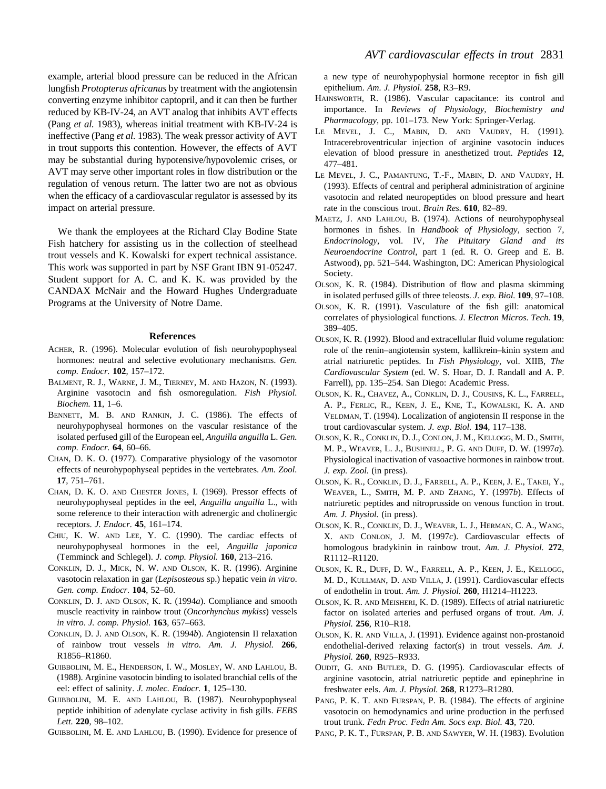example, arterial blood pressure can be reduced in the African lungfish *Protopterus africanus* by treatment with the angiotensin converting enzyme inhibitor captopril, and it can then be further reduced by KB-IV-24, an AVT analog that inhibits AVT effects (Pang *et al.* 1983), whereas initial treatment with KB-IV-24 is ineffective (Pang *et al.* 1983). The weak pressor activity of AVT in trout supports this contention. However, the effects of AVT may be substantial during hypotensive/hypovolemic crises, or AVT may serve other important roles in flow distribution or the regulation of venous return. The latter two are not as obvious when the efficacy of a cardiovascular regulator is assessed by its impact on arterial pressure.

We thank the employees at the Richard Clay Bodine State Fish hatchery for assisting us in the collection of steelhead trout vessels and K. Kowalski for expert technical assistance. This work was supported in part by NSF Grant IBN 91-05247. Student support for A. C. and K. K. was provided by the CANDAX McNair and the Howard Hughes Undergraduate Programs at the University of Notre Dame.

#### **References**

- ACHER, R. (1996). Molecular evolution of fish neurohypophyseal hormones: neutral and selective evolutionary mechanisms. *Gen. comp. Endocr.* **102**, 157–172.
- BALMENT, R. J., WARNE, J. M., TIERNEY, M. AND HAZON, N. (1993). Arginine vasotocin and fish osmoregulation. *Fish Physiol. Biochem.* **11**, 1–6.
- BENNETT, M. B. AND RANKIN, J. C. (1986). The effects of neurohypophyseal hormones on the vascular resistance of the isolated perfused gill of the European eel, *Anguilla anguilla* L. *Gen. comp. Endocr.* **64**, 60–66.
- CHAN, D. K. O. (1977). Comparative physiology of the vasomotor effects of neurohypophyseal peptides in the vertebrates. *Am. Zool.* **17**, 751–761.
- CHAN, D. K. O. AND CHESTER JONES, I. (1969). Pressor effects of neurohypophyseal peptides in the eel, *Anguilla anguilla* L., with some reference to their interaction with adrenergic and cholinergic receptors. *J. Endocr.* **45**, 161–174.
- CHIU, K. W. AND LEE, Y. C. (1990). The cardiac effects of neurohypophyseal hormones in the eel, *Anguilla japonica* (Temminck and Schlegel). *J. comp. Physiol.* **160**, 213–216.
- CONKLIN, D. J., MICK, N. W. AND OLSON, K. R. (1996). Arginine vasotocin relaxation in gar (*Lepisosteous* sp.) hepatic vein *in vitro*. *Gen. comp. Endocr.* **104**, 52–60.
- CONKLIN, D. J. AND OLSON, K. R. (1994*a*). Compliance and smooth muscle reactivity in rainbow trout (*Oncorhynchus mykiss*) vessels *in vitro*. *J. comp. Physiol.* **163**, 657–663.
- CONKLIN, D. J. AND OLSON, K. R. (1994*b*). Angiotensin II relaxation of rainbow trout vessels *in vitro*. *Am. J. Physiol.* **266**, R1856–R1860.
- GUIBBOLINI, M. E., HENDERSON, I. W., MOSLEY, W. AND LAHLOU, B. (1988). Arginine vasotocin binding to isolated branchial cells of the eel: effect of salinity. *J. molec. Endocr.* **1**, 125–130.
- GUIBBOLINI, M. E. AND LAHLOU, B. (1987). Neurohypophyseal peptide inhibition of adenylate cyclase activity in fish gills. *FEBS Lett.* **220**, 98–102.

GUIBBOLINI, M. E. AND LAHLOU, B. (1990). Evidence for presence of

a new type of neurohypophysial hormone receptor in fish gill epithelium. *Am. J. Physiol*. **258**, R3–R9.

- HAINSWORTH, R. (1986). Vascular capacitance: its control and importance. In *Reviews of Physiology, Biochemistry and Pharmacology*, pp. 101–173. New York: Springer-Verlag.
- LE MEVEL, J. C., MABIN, D. AND VAUDRY, H. (1991). Intracerebroventricular injection of arginine vasotocin induces elevation of blood pressure in anesthetized trout. *Peptides* **12**, 477–481.
- LE MEVEL, J. C., PAMANTUNG, T.-F., MABIN, D. AND VAUDRY, H. (1993). Effects of central and peripheral administration of arginine vasotocin and related neuropeptides on blood pressure and heart rate in the conscious trout. *Brain Res.* **610**, 82–89.
- MAETZ, J. AND LAHLOU, B. (1974). Actions of neurohypophyseal hormones in fishes. In *Handbook of Physiology*, section 7, *Endocrinology*, vol. IV, *The Pituitary Gland and its Neuroendocrine Control*, part 1 (ed. R. O. Greep and E. B. Astwood), pp. 521–544. Washington, DC: American Physiological Society.
- OLSON, K. R. (1984). Distribution of flow and plasma skimming in isolated perfused gills of three teleosts. *J. exp. Biol.* **109**, 97–108.
- OLSON, K. R. (1991). Vasculature of the fish gill: anatomical correlates of physiological functions. *J. Electron Micros. Tech.* **19**, 389–405.
- OLSON, K. R. (1992). Blood and extracellular fluid volume regulation: role of the renin–angiotensin system, kallikrein–kinin system and atrial natriuretic peptides. In *Fish Physiology*, vol. XIIB, *The Cardiovascular System* (ed. W. S. Hoar, D. J. Randall and A. P. Farrell), pp. 135–254. San Diego: Academic Press.
- OLSON, K. R., CHAVEZ, A., CONKLIN, D. J., COUSINS, K. L., FARRELL, A. P., FERLIC, R., KEEN, J. E., KNE, T., KOWALSKI, K. A. AND VELDMAN, T. (1994). Localization of angiotensin II response in the trout cardiovascular system. *J. exp. Biol.* **194**, 117–138.
- OLSON, K. R., CONKLIN, D. J., CONLON, J. M., KELLOGG, M. D., SMITH, M. P., WEAVER, L. J., BUSHNELL, P. G. AND DUFF, D. W. (1997*a*). Physiological inactivation of vasoactive hormones in rainbow trout. *J. exp. Zool.* (in press).
- OLSON, K. R., CONKLIN, D. J., FARRELL, A. P., KEEN, J. E., TAKEI, Y., WEAVER, L., SMITH, M. P. AND ZHANG, Y. (1997*b*). Effects of natriuretic peptides and nitroprusside on venous function in trout. *Am. J. Physiol.* (in press).
- OLSON, K. R., CONKLIN, D. J., WEAVER, L. J., HERMAN, C. A., WANG, X. AND CONLON, J. M. (1997*c*). Cardiovascular effects of homologous bradykinin in rainbow trout. *Am. J. Physiol.* **272**, R1112–R1120.
- OLSON, K. R., DUFF, D. W., FARRELL, A. P., KEEN, J. E., KELLOGG, M. D., KULLMAN, D. AND VILLA, J. (1991). Cardiovascular effects of endothelin in trout. *Am. J. Physiol.* **260**, H1214–H1223.
- OLSON, K. R. AND MEISHERI, K. D. (1989). Effects of atrial natriuretic factor on isolated arteries and perfused organs of trout. *Am. J. Physiol.* **256**, R10–R18.
- OLSON, K. R. AND VILLA, J. (1991). Evidence against non-prostanoid endothelial-derived relaxing factor(s) in trout vessels. *Am. J. Physiol.* **260**, R925–R933.
- OUDIT, G. AND BUTLER, D. G. (1995). Cardiovascular effects of arginine vasotocin, atrial natriuretic peptide and epinephrine in freshwater eels. *Am. J. Physiol.* **268**, R1273–R1280.
- PANG, P. K. T. AND FURSPAN, P. B. (1984). The effects of arginine vasotocin on hemodynamics and urine production in the perfused trout trunk. *Fedn Proc. Fedn Am. Socs exp. Biol.* **43**, 720.
- PANG, P. K. T., FURSPAN, P. B. AND SAWYER, W. H. (1983). Evolution